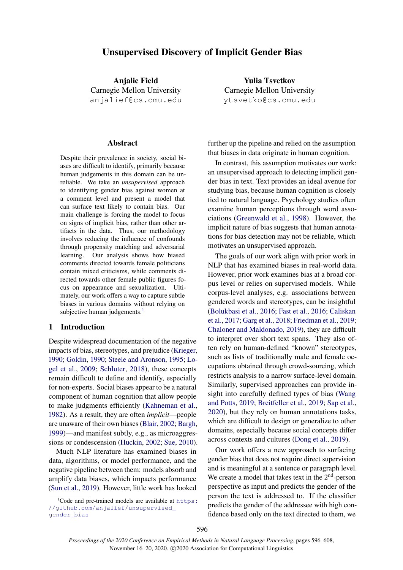# Unsupervised Discovery of Implicit Gender Bias

Anjalie Field Carnegie Mellon University anjalief@cs.cmu.edu

#### Abstract

Despite their prevalence in society, social biases are difficult to identify, primarily because human judgements in this domain can be unreliable. We take an *unsupervised* approach to identifying gender bias against women at a comment level and present a model that can surface text likely to contain bias. Our main challenge is forcing the model to focus on signs of implicit bias, rather than other artifacts in the data. Thus, our methodology involves reducing the influence of confounds through propensity matching and adversarial learning. Our analysis shows how biased comments directed towards female politicians contain mixed criticisms, while comments directed towards other female public figures focus on appearance and sexualization. Ultimately, our work offers a way to capture subtle biases in various domains without relying on subjective human judgements.<sup>[1](#page-0-0)</sup>

#### 1 Introduction

Despite widespread documentation of the negative impacts of bias, stereotypes, and prejudice [\(Krieger,](#page-9-0) [1990;](#page-9-0) [Goldin,](#page-9-1) [1990;](#page-9-1) [Steele and Aronson,](#page-10-0) [1995;](#page-10-0) [Lo](#page-10-1)[gel et al.,](#page-10-1) [2009;](#page-10-1) [Schluter,](#page-10-2) [2018\)](#page-10-2), these concepts remain difficult to define and identify, especially for non-experts. Social biases appear to be a natural component of human cognition that allow people to make judgments efficiently [\(Kahneman et al.,](#page-9-2) [1982\)](#page-9-2). As a result, they are often *implicit*—people are unaware of their own biases [\(Blair,](#page-9-3) [2002;](#page-9-3) [Bargh,](#page-9-4) [1999\)](#page-9-4)—and manifest subtly, e.g., as microaggressions or condescension [\(Huckin,](#page-9-5) [2002;](#page-9-5) [Sue,](#page-10-3) [2010\)](#page-10-3).

Much NLP literature has examined biases in data, algorithms, or model performance, and the negative pipeline between them: models absorb and amplify data biases, which impacts performance [\(Sun et al.,](#page-10-4) [2019\)](#page-10-4). However, little work has looked

Yulia Tsvetkov Carnegie Mellon University ytsvetko@cs.cmu.edu

further up the pipeline and relied on the assumption that biases in data originate in human cognition.

In contrast, this assumption motivates our work: an unsupervised approach to detecting implicit gender bias in text. Text provides an ideal avenue for studying bias, because human cognition is closely tied to natural language. Psychology studies often examine human perceptions through word associations [\(Greenwald et al.,](#page-9-6) [1998\)](#page-9-6). However, the implicit nature of bias suggests that human annotations for bias detection may not be reliable, which motivates an unsupervised approach.

The goals of our work align with prior work in NLP that has examined biases in real-world data. However, prior work examines bias at a broad corpus level or relies on supervised models. While corpus-level analyses, e.g. associations between gendered words and stereotypes, can be insightful [\(Bolukbasi et al.,](#page-9-7) [2016;](#page-9-7) [Fast et al.,](#page-9-8) [2016;](#page-9-8) [Caliskan](#page-9-9) [et al.,](#page-9-9) [2017;](#page-9-9) [Garg et al.,](#page-9-10) [2018;](#page-9-10) [Friedman et al.,](#page-9-11) [2019;](#page-9-11) [Chaloner and Maldonado,](#page-9-12) [2019\)](#page-9-12), they are difficult to interpret over short text spans. They also often rely on human-defined "known" stereotypes, such as lists of traditionally male and female occupations obtained through crowd-sourcing, which restricts analysis to a narrow surface-level domain. Similarly, supervised approaches can provide insight into carefully defined types of bias [\(Wang](#page-10-5) [and Potts,](#page-10-5) [2019;](#page-10-5) [Breitfeller et al.,](#page-9-13) [2019;](#page-9-13) [Sap et al.,](#page-10-6) [2020\)](#page-10-6), but they rely on human annotations tasks, which are difficult to design or generalize to other domains, especially because social concepts differ across contexts and cultures [\(Dong et al.,](#page-9-14) [2019\)](#page-9-14).

Our work offers a new approach to surfacing gender bias that does not require direct supervision and is meaningful at a sentence or paragraph level. We create a model that takes text in the  $2<sup>nd</sup>$ -person perspective as input and predicts the gender of the person the text is addressed to. If the classifier predicts the gender of the addressee with high confidence based only on the text directed to them, we

<span id="page-0-0"></span> ${}^{1}$ Code and pre-trained models are available at [https:](https://github.com/anjalief/unsupervised_gender_bias) [//github.com/anjalief/unsupervised\\_](https://github.com/anjalief/unsupervised_gender_bias) [gender\\_bias](https://github.com/anjalief/unsupervised_gender_bias)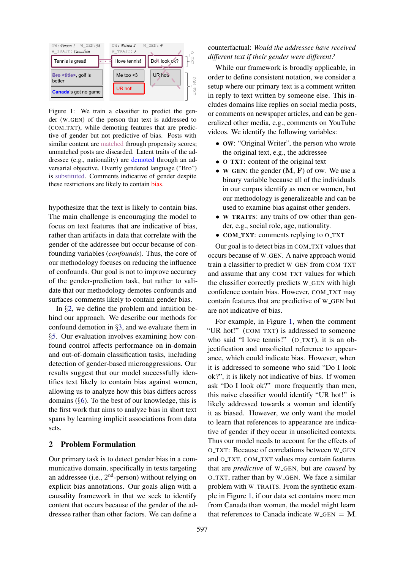<span id="page-1-1"></span>

Figure 1: We train a classifier to predict the gender (W GEN) of the person that text is addressed to (COM TXT), while demoting features that are predictive of gender but not predictive of bias. Posts with similar content are matched through propensity scores; unmatched posts are discarded. Latent traits of the addressee (e.g., nationality) are demoted through an adversarial objective. Overtly gendered language ("Bro") is substituted. Comments indicative of gender despite these restrictions are likely to contain bias.

hypothesize that the text is likely to contain bias. The main challenge is encouraging the model to focus on text features that are indicative of bias, rather than artifacts in data that correlate with the gender of the addressee but occur because of confounding variables (*confounds*). Thus, the core of our methodology focuses on reducing the influence of confounds. Our goal is not to improve accuracy of the gender-prediction task, but rather to validate that our methodology demotes confounds and surfaces comments likely to contain gender bias.

In §[2,](#page-1-0) we define the problem and intuition behind our approach. We describe our methods for confound demotion in §[3,](#page-2-0) and we evaluate them in §[5.](#page-4-0) Our evaluation involves examining how confound control affects performance on in-domain and out-of-domain classification tasks, including detection of gender-based microaggressions. Our results suggest that our model successfully identifies text likely to contain bias against women, allowing us to analyze how this bias differs across domains  $(\S6)$  $(\S6)$ . To the best of our knowledge, this is the first work that aims to analyze bias in short text spans by learning implicit associations from data sets.

# <span id="page-1-0"></span>2 Problem Formulation

Our primary task is to detect gender bias in a communicative domain, specifically in texts targeting an addressee (i.e.,  $2<sup>nd</sup>$ -person) without relying on explicit bias annotations. Our goals align with a causality framework in that we seek to identify content that occurs because of the gender of the addressee rather than other factors. We can define a

# counterfactual: *Would the addressee have received different text if their gender were different?*

While our framework is broadly applicable, in order to define consistent notation, we consider a setup where our primary text is a comment written in reply to text written by someone else. This includes domains like replies on social media posts, or comments on newspaper articles, and can be generalized other media, e.g., comments on YouTube videos. We identify the following variables:

- OW: "Original Writer", the person who wrote the original text, e.g., the addressee
- **O\_TXT:** content of the original text
- W\_GEN: the gender  $(M, F)$  of OW. We use a binary variable because all of the individuals in our corpus identify as men or women, but our methodology is generalizeable and can be used to examine bias against other genders.
- W\_TRAITS: any traits of OW other than gender, e.g., social role, age, nationality.
- COM\_TXT: comments replying to O\_TXT

Our goal is to detect bias in COM TXT values that occurs because of W GEN. A naive approach would train a classifier to predict W\_GEN from COM\_TXT and assume that any COM\_TXT values for which the classifier correctly predicts W GEN with high confidence contain bias. However, COM TXT may contain features that are predictive of W\_GEN but are not indicative of bias.

For example, in Figure [1,](#page-1-1) when the comment "UR hot!" (COM\_TXT) is addressed to someone who said "I love tennis!" (O\_TXT), it is an objectification and unsolicited reference to appearance, which could indicate bias. However, when it is addressed to someone who said "Do I look ok?", it is likely not indicative of bias. If women ask "Do I look ok?" more frequently than men, this naive classifier would identify "UR hot!" is likely addressed towards a woman and identify it as biased. However, we only want the model to learn that references to appearance are indicative of gender if they occur in unsolicited contexts. Thus our model needs to account for the effects of O TXT: Because of correlations between W GEN and O\_TXT, COM\_TXT values may contain features that are *predictive* of W GEN, but are *caused* by O TXT, rather than by W GEN. We face a similar problem with W TRAITS. From the synthetic example in Figure [1,](#page-1-1) if our data set contains more men from Canada than women, the model might learn that references to Canada indicate  $W_{\text{-}GEN} = M$ .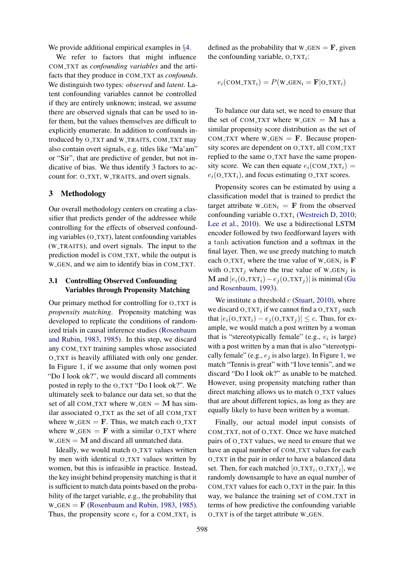We provide additional empirical examples in §[4.](#page-3-0)

We refer to factors that might influence COM TXT as *confounding variables* and the artifacts that they produce in COM TXT as *confounds*. We distinguish two types: *observed* and *latent*. Latent confounding variables cannot be controlled if they are entirely unknown; instead, we assume there are observed signals that can be used to infer them, but the values themselves are difficult to explicitly enumerate. In addition to confounds introduced by O\_TXT and W\_TRAITS, COM\_TXT may also contain overt signals, e.g. titles like "Ma'am" or "Sir", that are predictive of gender, but not indicative of bias. We thus identify 3 factors to account for: O\_TXT, W\_TRAITS, and overt signals.

### <span id="page-2-0"></span>3 Methodology

Our overall methodology centers on creating a classifier that predicts gender of the addressee while controlling for the effects of observed confounding variables (O TXT), latent confounding variables (W TRAITS), and overt signals. The input to the prediction model is COM\_TXT, while the output is W GEN, and we aim to identify bias in COM TXT.

# 3.1 Controlling Observed Confounding Variables through Propensity Matching

Our primary method for controlling for O\_TXT is *propensity matching*. Propensity matching was developed to replicate the conditions of randomized trials in causal inference studies [\(Rosenbaum](#page-10-7) [and Rubin,](#page-10-7) [1983,](#page-10-7) [1985\)](#page-10-8). In this step, we discard any COM TXT training samples whose associated O TXT is heavily affiliated with only one gender. In Figure [1,](#page-1-1) if we assume that only women post "Do I look ok?", we would discard all comments posted in reply to the O\_TXT "Do I look ok?". We ultimately seek to balance our data set, so that the set of all COM\_TXT where  $W$ \_GEN = M has similar associated O\_TXT as the set of all COM\_TXT where  $W_{\text{GEN}} = \mathbf{F}$ . Thus, we match each O\_TXT where  $W_{\text{-}\text{GEN}} = \mathbf{F}$  with a similar O\_TXT where  $W_{\text{-}\text{GEN}} = M$  and discard all unmatched data.

Ideally, we would match O\_TXT values written by men with identical O\_TXT values written by women, but this is infeasible in practice. Instead, the key insight behind propensity matching is that it is sufficient to match data points based on the probability of the target variable, e.g., the probability that  $W_{\text{GEN}} = \mathbf{F}$  [\(Rosenbaum and Rubin,](#page-10-7) [1983,](#page-10-7) [1985\)](#page-10-8). Thus, the propensity score  $e_i$  for a COM\_TXT<sub>i</sub> is

defined as the probability that  $W_{\text{-GEN}} = F$ , given the confounding variable,  $O_T X T_i$ :

$$
e_i(\text{COM_TXT}_i) = P(\text{W_GEN}_i = \mathbf{F} | \text{O_TXT}_i)
$$

To balance our data set, we need to ensure that the set of COM\_TXT where  $W_GEN = M$  has a similar propensity score distribution as the set of COM\_TXT where  $W$ <sub>-GEN</sub> =  $\bf{F}$ . Because propensity scores are dependent on O\_TXT, all COM\_TXT replied to the same O\_TXT have the same propensity score. We can then equate  $e_i$ (COM\_TXT<sub>i</sub>) =  $e_i$ (O\_TXT<sub>i</sub>), and focus estimating O\_TXT scores.

Propensity scores can be estimated by using a classification model that is trained to predict the target attribute W\_GEN<sub>i</sub> = **F** from the observed confounding variable  $O_TXT_i$  [\(Westreich D,](#page-10-9) [2010;](#page-10-9) [Lee et al.,](#page-10-10) [2010\)](#page-10-10). We use a bidirectional LSTM encoder followed by two feedforward layers with a tanh activation function and a softmax in the final layer. Then, we use greedy matching to match each O\_TXT<sub>i</sub> where the true value of W\_GEN<sub>i</sub> is **F** with O\_TXT<sub>j</sub> where the true value of W\_GEN<sub>j</sub> is M and  $|e_i(0_T X T_i) - e_i(0_T X T_j)|$  is minimal [\(Gu](#page-9-15) [and Rosenbaum,](#page-9-15) [1993\)](#page-9-15).

We institute a threshold  $c$  [\(Stuart,](#page-10-11) [2010\)](#page-10-11), where we discard  $O_T X T_i$  if we cannot find a  $O_T X T_j$  such that  $|e_i(\text{O}_T \text{X} \text{T}_i) - e_j(\text{O}_T \text{X} \text{T}_j)| \leq c$ . Thus, for example, we would match a post written by a woman that is "stereotypically female" (e.g.,  $e_i$  is large) with a post written by a man that is also "stereotypically female" (e.g.,  $e_i$  is also large). In Figure [1,](#page-1-1) we match "Tennis is great" with "I love tennis", and we discard "Do I look ok?" as unable to be matched. However, using propensity matching rather than direct matching allows us to match O\_TXT values that are about different topics, as long as they are equally likely to have been written by a woman.

Finally, our actual model input consists of COM\_TXT, not of O\_TXT. Once we have matched pairs of O\_TXT values, we need to ensure that we have an equal number of COM\_TXT values for each O TXT in the pair in order to have a balanced data set. Then, for each matched  $[O_T X T_i, O_T X T_j]$ , we randomly downsample to have an equal number of COM\_TXT values for each O\_TXT in the pair. In this way, we balance the training set of COM TXT in terms of how predictive the confounding variable O TXT is of the target attribute W GEN.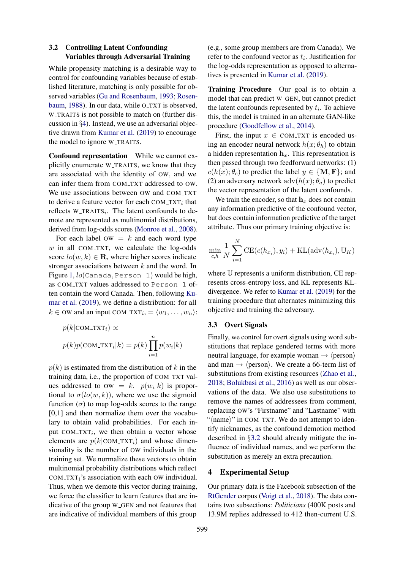# <span id="page-3-1"></span>3.2 Controlling Latent Confounding Variables through Adversarial Training

While propensity matching is a desirable way to control for confounding variables because of established literature, matching is only possible for observed variables [\(Gu and Rosenbaum,](#page-9-15) [1993;](#page-9-15) [Rosen](#page-10-12)[baum,](#page-10-12) [1988\)](#page-10-12). In our data, while O\_TXT is observed, W TRAITS is not possible to match on (further discussion in §[4\)](#page-3-0). Instead, we use an adversarial objective drawn from [Kumar et al.](#page-9-16) [\(2019\)](#page-9-16) to encourage the model to ignore W TRAITS.

Confound representation While we cannot explicitly enumerate W TRAITS, we know that they are associated with the identity of OW, and we can infer them from COM TXT addressed to OW. We use associations between OW and COM\_TXT to derive a feature vector for each COM\_TXT $_i$  that reflects  $W_TRAITS_i$ . The latent confounds to demote are represented as multinomial distributions, derived from log-odds scores [\(Monroe et al.,](#page-10-13) [2008\)](#page-10-13).

For each label  $OW = k$  and each word type  $w$  in all COM\_TXT, we calculate the log-odds score  $lo(w, k) \in \mathbf{R}$ , where higher scores indicate stronger associations between  $k$  and the word. In Figure [1,](#page-1-1)  $lo($ Canada, Person 1) would be high, as COM TXT values addressed to Person 1 often contain the word Canada. Then, following [Ku](#page-9-16)[mar et al.](#page-9-16) [\(2019\)](#page-9-16), we define a distribution: for all  $k \in \text{OW}$  and an input COM\_TXT<sub>i</sub>, =  $\langle w_1, \ldots, w_n \rangle$ :

$$
p(k|\text{COM_TXT}_i) \propto
$$
  

$$
p(k)p(\text{COM_TXT}_i|k) = p(k)\prod_{i=1}^n p(w_i|k)
$$

 $p(k)$  is estimated from the distribution of k in the training data, i.e., the proportion of COM TXT values addressed to  $ow = k$ .  $p(w_i|k)$  is proportional to  $\sigma(lo(w,k))$ , where we use the sigmoid function  $(\sigma)$  to map log-odds scores to the range [0,1] and then normalize them over the vocabulary to obtain valid probabilities. For each input  $COM_1 \r{TX}$ , we then obtain a vector whose elements are  $p(k|COM_TXT_i)$  and whose dimensionality is the number of OW individuals in the training set. We normalize these vectors to obtain multinomial probability distributions which reflect COM\_TXT $<sub>i</sub>$ 's association with each OW individual.</sub> Thus, when we demote this vector during training, we force the classifier to learn features that are indicative of the group W GEN and not features that are indicative of individual members of this group

(e.g., some group members are from Canada). We refer to the confound vector as  $t_i$ . Justification for the log-odds representation as opposed to alternatives is presented in [Kumar et al.](#page-9-16) [\(2019\)](#page-9-16).

Training Procedure Our goal is to obtain a model that can predict W\_GEN, but cannot predict the latent confounds represented by  $t_i$ . To achieve this, the model is trained in an alternate GAN-like procedure [\(Goodfellow et al.,](#page-9-17) [2014\)](#page-9-17).

First, the input  $x \in \text{COM_TXT}$  is encoded using an encoder neural network  $h(x; \theta_h)$  to obtain a hidden representation  $h<sub>x</sub>$ . This representation is then passed through two feedforward networks: (1)  $c(h(x); \theta_c)$  to predict the label  $y \in \{M, F\}$ ; and (2) an adversary network  $\text{adv}(h(x); \theta_a)$  to predict the vector representation of the latent confounds.

We train the encoder, so that  $h<sub>x</sub>$  does not contain any information predictive of the confound vector, but does contain information predictive of the target attribute. Thus our primary training objective is:

$$
\min_{c,h} \frac{1}{N} \sum_{i=1}^{N} \text{CE}(c(h_{x_i}), y_i) + \text{KL}(\text{adv}(h_{x_i}), \mathbb{U}_K)
$$

where U represents a uniform distribution, CE represents cross-entropy loss, and KL represents KLdivergence. We refer to [Kumar et al.](#page-9-16) [\(2019\)](#page-9-16) for the training procedure that alternates minimizing this objective and training the adversary.

#### 3.3 Overt Signals

Finally, we control for overt signals using word substitutions that replace gendered terms with more neutral language, for example woman  $\rightarrow$   $\langle$  person $\rangle$ and man  $\rightarrow$   $\langle$  person $\rangle$ . We create a 66-term list of substitutions from existing resources [\(Zhao et al.,](#page-10-14) [2018;](#page-10-14) [Bolukbasi et al.,](#page-9-7) [2016\)](#page-9-7) as well as our observations of the data. We also use substitutions to remove the names of addressees from comment, replacing OW's "Firstname" and "Lastname" with "(name)" in COM\_TXT. We do not attempt to identify nicknames, as the confound demotion method described in §[3.2](#page-3-1) should already mitigate the influence of individual names, and we perform the substitution as merely an extra precaution.

### <span id="page-3-0"></span>4 Experimental Setup

Our primary data is the Facebook subsection of the [RtGender](https://nlp.stanford.edu/robvoigt/rtgender/) corpus [\(Voigt et al.,](#page-10-15) [2018\)](#page-10-15). The data contains two subsections: *Politicians* (400K posts and 13.9M replies addressed to 412 then-current U.S.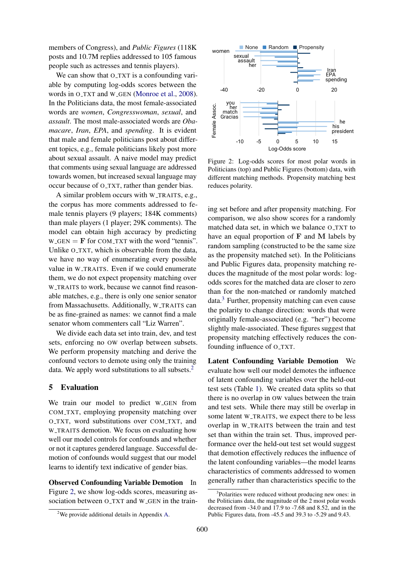members of Congress), and *Public Figures* (118K posts and 10.7M replies addressed to 105 famous people such as actresses and tennis players).

We can show that O\_TXT is a confounding variable by computing log-odds scores between the words in O\_TXT and W\_GEN [\(Monroe et al.,](#page-10-13) [2008\)](#page-10-13). In the Politicians data, the most female-associated words are *women*, *Congresswoman*, *sexual*, and *assault*. The most male-associated words are *Obamacare*, *Iran*, *EPA*, and *spending*. It is evident that male and female politicians post about different topics, e.g., female politicians likely post more about sexual assault. A naive model may predict that comments using sexual language are addressed towards women, but increased sexual language may occur because of O TXT, rather than gender bias.

A similar problem occurs with W TRAITS, e.g., the corpus has more comments addressed to female tennis players (9 players; 184K comments) than male players (1 player; 29K comments). The model can obtain high accuracy by predicting  $W_{\text{GEN}} = \mathbf{F}$  for COM\_TXT with the word "tennis". Unlike O\_TXT, which is observable from the data, we have no way of enumerating every possible value in W\_TRAITS. Even if we could enumerate them, we do not expect propensity matching over W TRAITS to work, because we cannot find reasonable matches, e.g., there is only one senior senator from Massachusetts. Additionally, W TRAITS can be as fine-grained as names: we cannot find a male senator whom commenters call "Liz Warren".

We divide each data set into train, dev, and test sets, enforcing no OW overlap between subsets. We perform propensity matching and derive the confound vectors to demote using only the training data. We apply word substitutions to all subsets.<sup>[2](#page-4-1)</sup>

### <span id="page-4-0"></span>5 Evaluation

We train our model to predict W\_GEN from COM TXT, employing propensity matching over O TXT, word substitutions over COM TXT, and W\_TRAITS demotion. We focus on evaluating how well our model controls for confounds and whether or not it captures gendered language. Successful demotion of confounds would suggest that our model learns to identify text indicative of gender bias.

Observed Confounding Variable Demotion In Figure [2,](#page-4-2) we show log-odds scores, measuring association between O\_TXT and W\_GEN in the train-

<span id="page-4-2"></span>

Figure 2: Log-odds scores for most polar words in Politicians (top) and Public Figures (bottom) data, with different matching methods. Propensity matching best reduces polarity.

ing set before and after propensity matching. For comparison, we also show scores for a randomly matched data set, in which we balance O TXT to have an equal proportion of  $F$  and  $M$  labels by random sampling (constructed to be the same size as the propensity matched set). In the Politicians and Public Figures data, propensity matching reduces the magnitude of the most polar words: logodds scores for the matched data are closer to zero than for the non-matched or randomly matched data.[3](#page-4-3) Further, propensity matching can even cause the polarity to change direction: words that were originally female-associated (e.g. "her") become slightly male-associated. These figures suggest that propensity matching effectively reduces the confounding influence of  $O_TXT$ .

Latent Confounding Variable Demotion We evaluate how well our model demotes the influence of latent confounding variables over the held-out test sets (Table [1\)](#page-5-1). We created data splits so that there is no overlap in OW values between the train and test sets. While there may still be overlap in some latent W\_TRAITS, we expect there to be less overlap in W TRAITS between the train and test set than within the train set. Thus, improved performance over the held-out test set would suggest that demotion effectively reduces the influence of the latent confounding variables—the model learns characteristics of comments addressed to women generally rather than characteristics specific to the

<span id="page-4-3"></span><sup>&</sup>lt;sup>3</sup>Polarities were reduced without producing new ones: in the Politicians data, the magnitude of the 2 most polar words decreased from -34.0 and 17.9 to -7.68 and 8.52, and in the Public Figures data, from -45.5 and 39.3 to -5.29 and 9.43.

<span id="page-4-1"></span><sup>&</sup>lt;sup>2</sup>We provide additional details in Appendix [A.](#page-11-0)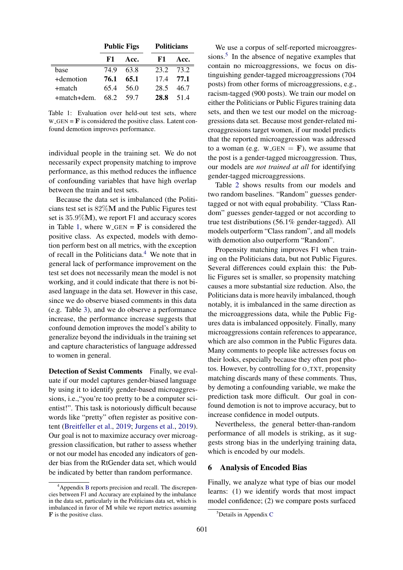<span id="page-5-1"></span>

|             | <b>Public Figs</b> |       | <b>Politicians</b> |      |
|-------------|--------------------|-------|--------------------|------|
|             | F1.                | Acc.  | F1                 | Acc. |
| base        | 74 9               | 63.8  | 23.2               | 73.2 |
| +demotion   | 76.1               | 65.1  | 174                | 77.1 |
| +match      | 65.4               | .56 O | 28.5               | 46.7 |
| +match+dem. | 68.2               | 59.7  | 28.8               | 514  |

Table 1: Evaluation over held-out test sets, where  $W_{\text{-}\text{GEN}} = \mathbf{F}$  is considered the positive class. Latent confound demotion improves performance.

individual people in the training set. We do not necessarily expect propensity matching to improve performance, as this method reduces the influence of confounding variables that have high overlap between the train and test sets.

Because the data set is imbalanced (the Politicians test set is 82%M and the Public Figures test set is 35.9%M), we report F1 and accuracy scores in Table [1,](#page-5-1) where  $W_{\text{GEN}} = \mathbf{F}$  is considered the positive class. As expected, models with demotion perform best on all metrics, with the exception of recall in the Politicians data. $4$  We note that in general lack of performance improvement on the test set does not necessarily mean the model is not working, and it could indicate that there is not biased language in the data set. However in this case, since we do observe biased comments in this data (e.g. Table [3\)](#page-7-0), and we do observe a performance increase, the performance increase suggests that confound demotion improves the model's ability to generalize beyond the individuals in the training set and capture characteristics of language addressed to women in general.

Detection of Sexist Comments Finally, we evaluate if our model captures gender-biased language by using it to identify gender-based microaggressions, i.e.,"you're too pretty to be a computer scientist!". This task is notoriously difficult because words like "pretty" often register as positive content [\(Breitfeller et al.,](#page-9-13) [2019;](#page-9-13) [Jurgens et al.,](#page-9-18) [2019\)](#page-9-18). Our goal is not to maximize accuracy over microaggression classification, but rather to assess whether or not our model has encoded any indicators of gender bias from the RtGender data set, which would be indicated by better than random performance.

We use a corpus of self-reported microaggres-sions.<sup>[5](#page-5-3)</sup> In the absence of negative examples that contain no microaggressions, we focus on distinguishing gender-tagged microaggressions (704 posts) from other forms of microaggressions, e.g., racism-tagged (900 posts). We train our model on either the Politicians or Public Figures training data sets, and then we test our model on the microaggressions data set. Because most gender-related microaggressions target women, if our model predicts that the reported microaggression was addressed to a woman (e.g.  $W_{\text{-GEN}} = \mathbf{F}$ ), we assume that the post is a gender-tagged microaggression. Thus, our models are *not trained at all* for identifying gender-tagged microaggressions.

Table [2](#page-6-0) shows results from our models and two random baselines. "Random" guesses gendertagged or not with equal probability. "Class Random" guesses gender-tagged or not according to true test distributions (56.1% gender-tagged). All models outperform "Class random", and all models with demotion also outperform "Random".

Propensity matching improves F1 when training on the Politicians data, but not Public Figures. Several differences could explain this: the Public Figures set is smaller, so propensity matching causes a more substantial size reduction. Also, the Politicians data is more heavily imbalanced, though notably, it is imbalanced in the same direction as the microaggressions data, while the Public Figures data is imbalanced oppositely. Finally, many microaggressions contain references to appearance, which are also common in the Public Figures data. Many comments to people like actresses focus on their looks, especially because they often post photos. However, by controlling for O TXT, propensity matching discards many of these comments. Thus, by demoting a confounding variable, we make the prediction task more difficult. Our goal in confound demotion is not to improve accuracy, but to increase confidence in model outputs.

Nevertheless, the general better-than-random performance of all models is striking, as it suggests strong bias in the underlying training data, which is encoded by our models.

### <span id="page-5-0"></span>6 Analysis of Encoded Bias

Finally, we analyze what type of bias our model learns: (1) we identify words that most impact model confidence; (2) we compare posts surfaced

<span id="page-5-2"></span><sup>4</sup>Appendix [B](#page-11-1) reports precision and recall. The discrepencies between F1 and Accuracy are explained by the imbalance in the data set, particularly in the Politicians data set, which is imbalanced in favor of M while we report metrics assuming F is the positive class.

<span id="page-5-3"></span><sup>&</sup>lt;sup>5</sup>Details in Appendix [C](#page-11-2)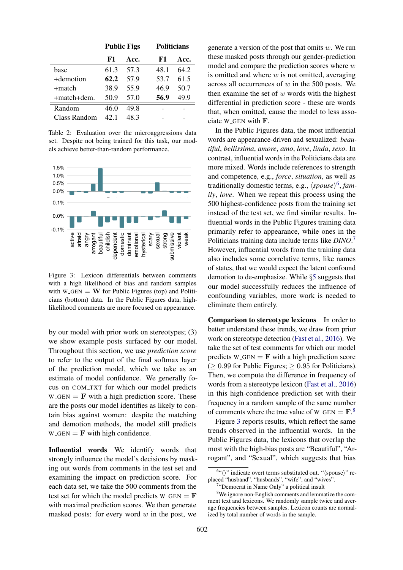<span id="page-6-0"></span>

|              | <b>Public Figs</b> |      | <b>Politicians</b> |      |
|--------------|--------------------|------|--------------------|------|
|              | F1                 | Acc. | F1                 | Acc. |
| base         | 613                | 57.3 | 48.1               | 64 2 |
| +demotion    | 62.2               | 57.9 | 53.7               | 61.5 |
| +match       | 38.9               | 55.9 | 46.9               | 50.7 |
| +match+dem.  | 50.9               | 57.0 | 56.9               | 49.9 |
| Random       | 46.0               | 49.8 |                    |      |
| Class Random | 42-1               | 48.3 |                    |      |

Table 2: Evaluation over the microaggressions data set. Despite not being trained for this task, our models achieve better-than-random performance.

<span id="page-6-4"></span>

Figure 3: Lexicon differentials between comments with a high likelihood of bias and random samples with  $W_{\text{GEN}} = W$  for Public Figures (top) and Politicians (bottom) data. In the Public Figures data, highlikelihood comments are more focused on appearance.

by our model with prior work on stereotypes; (3) we show example posts surfaced by our model. Throughout this section, we use *prediction score* to refer to the output of the final softmax layer of the prediction model, which we take as an estimate of model confidence. We generally focus on COM TXT for which our model predicts  $W_{\text{GEN}} = \mathbf{F}$  with a high prediction score. These are the posts our model identifies as likely to contain bias against women: despite the matching and demotion methods, the model still predicts  $W_{\text{-}GEN} = \mathbf{F}$  with high confidence.

Influential words We identify words that strongly influence the model's decisions by masking out words from comments in the test set and examining the impact on prediction score. For each data set, we take the 500 comments from the test set for which the model predicts  $W_CGEN = F$ with maximal prediction scores. We then generate masked posts: for every word  $w$  in the post, we

generate a version of the post that omits  $w$ . We run these masked posts through our gender-prediction model and compare the prediction scores where  $w$ is omitted and where  $w$  is not omitted, averaging across all occurrences of  $w$  in the 500 posts. We then examine the set of  $w$  words with the highest differential in prediction score - these are words that, when omitted, cause the model to less associate W GEN with F.

In the Public Figures data, the most influential words are appearance-driven and sexualized: *beautiful*, *bellissima*, *amore*, *amo*, *love*, *linda*, *sexo*. In contrast, influential words in the Politicians data are more mixed. Words include references to strength and competence, e.g., *force*, *situation*, as well as traditionally domestic terms, e.g.,  $\langle s \textit{pouse} \rangle^6$  $\langle s \textit{pouse} \rangle^6$ , *family*, *love*. When we repeat this process using the 500 highest-confidence posts from the training set instead of the test set, we find similar results. Influential words in the Public Figures training data primarily refer to appearance, while ones in the Politicians training data include terms like *DINO*. [7](#page-6-2) However, influential words from the training data also includes some correlative terms, like names of states, that we would expect the latent confound demotion to de-emphasize. While §[5](#page-4-0) suggests that our model successfully reduces the influence of confounding variables, more work is needed to eliminate them entirely.

Comparison to stereotype lexicons In order to better understand these trends, we draw from prior work on stereotype detection [\(Fast et al.,](#page-9-8) [2016\)](#page-9-8). We take the set of test comments for which our model predicts  $W_{\text{-GEN}} = \mathbf{F}$  with a high prediction score  $(≥ 0.99$  for Public Figures;  $≥ 0.95$  for Politicians). Then, we compute the difference in frequency of words from a stereotype lexicon [\(Fast et al.,](#page-9-8) [2016\)](#page-9-8) in this high-confidence prediction set with their frequency in a random sample of the same number of comments where the true value of  $W_{\text{-GEN}} = F$ .<sup>[8](#page-6-3)</sup>

Figure [3](#page-6-4) reports results, which reflect the same trends observed in the influential words. In the Public Figures data, the lexicons that overlap the most with the high-bias posts are "Beautiful", "Arrogant", and "Sexual", which suggests that bias

<span id="page-6-1"></span> $\mathfrak{f}$ " indicate overt terms substituted out. " $\langle$ spouse $\rangle$ " replaced "husband", "husbands", "wife", and "wives".

<span id="page-6-3"></span><span id="page-6-2"></span><sup>&</sup>lt;sup>7</sup>"Democrat in Name Only" a political insult

<sup>8</sup>We ignore non-English comments and lemmatize the comment text and lexicons. We randomly sample twice and average frequencies between samples. Lexicon counts are normalized by total number of words in the sample.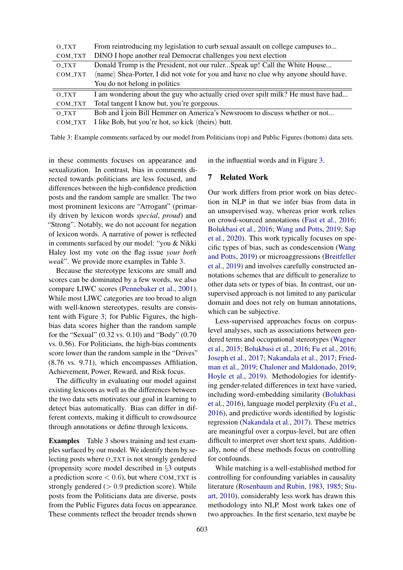<span id="page-7-0"></span>

| O_TXT   | From reintroducing my legislation to curb sexual assault on college campuses to     |
|---------|-------------------------------------------------------------------------------------|
| COM_TXT | DINO I hope another real Democrat challenges you next election                      |
| O_TXT   | Donald Trump is the President, not our rulerSpeak up! Call the White House          |
| COM_TXT | (name) Shea-Porter, I did not vote for you and have no clue why anyone should have. |
|         | You do not belong in politics                                                       |
| O_TXT   | I am wondering about the guy who actually cried over spilt milk? He must have had   |
| COM_TXT | Total tangent I know but, you're gorgeous.                                          |
| O_TXT   | Bob and I join Bill Hemmer on America's Newsroom to discuss whether or not          |
| COM_TXT | I like Bob, but you're hot, so kick (theirs) butt.                                  |

Table 3: Example comments surfaced by our model from Politicians (top) and Public Figures (bottom) data sets.

in these comments focuses on appearance and sexualization. In contrast, bias in comments directed towards politicians are less focused, and differences between the high-confidence prediction posts and the random sample are smaller. The two most prominent lexicons are "Arrogant" (primarily driven by lexicon words *special*, *proud*) and "Strong". Notably, we do not account for negation of lexicon words. A narrative of power is reflected in comments surfaced by our model: "you & Nikki Haley lost my vote on the flag issue *your both weak*". We provide more examples in Table [3.](#page-7-0)

Because the stereotype lexicons are small and scores can be dominated by a few words, we also compare LIWC scores [\(Pennebaker et al.,](#page-10-16) [2001\)](#page-10-16). While most LIWC categories are too broad to align with well-known stereotypes, results are consistent with Figure [3;](#page-6-4) for Public Figures, the highbias data scores higher than the random sample for the "Sexual" (0.32 vs. 0.10) and "Body" (0.70 vs. 0.56). For Politicians, the high-bias comments score lower than the random sample in the "Drives" (8.76 vs. 9.71), which encompasses Affiliation, Achievement, Power, Reward, and Risk focus.

The difficulty in evaluating our model against existing lexicons as well as the differences between the two data sets motivates our goal in learning to detect bias automatically. Bias can differ in different contexts, making it difficult to crowdsource through annotations or define through lexicons.

Examples Table [3](#page-7-0) shows training and test examples surfaced by our model. We identify them by selecting posts where O TXT is not strongly gendered (propensity score model described in §[3](#page-2-0) outputs a prediction score  $< 0.6$ ), but where COM\_TXT is strongly gendered ( $> 0.9$  prediction score). While posts from the Politicians data are diverse, posts from the Public Figures data focus on appearance. These comments reflect the broader trends shown

in the influential words and in Figure [3.](#page-6-4)

### 7 Related Work

Our work differs from prior work on bias detection in NLP in that we infer bias from data in an unsupervised way, whereas prior work relies on crowd-sourced annotations [\(Fast et al.,](#page-9-8) [2016;](#page-9-8) [Bolukbasi et al.,](#page-9-7) [2016;](#page-9-7) [Wang and Potts,](#page-10-5) [2019;](#page-10-5) [Sap](#page-10-6) [et al.,](#page-10-6) [2020\)](#page-10-6). This work typically focuses on specific types of bias, such as condescension [\(Wang](#page-10-5) [and Potts,](#page-10-5) [2019\)](#page-10-5) or microaggressions [\(Breitfeller](#page-9-13) [et al.,](#page-9-13) [2019\)](#page-9-13) and involves carefully constructed annotations schemes that are difficult to generalize to other data sets or types of bias. In contrast, our unsupervised approach is not limited to any particular domain and does not rely on human annotations, which can be subjective.

Less-supervised approaches focus on corpuslevel analyses, such as associations between gendered terms and occupational stereotypes [\(Wagner](#page-10-17) [et al.,](#page-10-17) [2015;](#page-10-17) [Bolukbasi et al.,](#page-9-7) [2016;](#page-9-7) [Fu et al.,](#page-9-19) [2016;](#page-9-19) [Joseph et al.,](#page-9-20) [2017;](#page-9-20) [Nakandala et al.,](#page-10-18) [2017;](#page-10-18) [Fried](#page-9-11)[man et al.,](#page-9-11) [2019;](#page-9-11) [Chaloner and Maldonado,](#page-9-12) [2019;](#page-9-12) [Hoyle et al.,](#page-9-21) [2019\)](#page-9-21). Methodologies for identifying gender-related differences in text have varied, including word-embedding similarity [\(Bolukbasi](#page-9-7) [et al.,](#page-9-7) [2016\)](#page-9-7), language model perplexity [\(Fu et al.,](#page-9-19) [2016\)](#page-9-19), and predictive words identified by logistic regression [\(Nakandala et al.,](#page-10-18) [2017\)](#page-10-18). These metrics are meaningful over a corpus-level, but are often difficult to interpret over short text spans. Additionally, none of these methods focus on controlling for confounds.

While matching is a well-established method for controlling for confounding variables in causality literature [\(Rosenbaum and Rubin,](#page-10-7) [1983,](#page-10-7) [1985;](#page-10-8) [Stu](#page-10-11)[art,](#page-10-11) [2010\)](#page-10-11), considerably less work has drawn this methodology into NLP. Most work takes one of two approaches. In the first scenario, text maybe be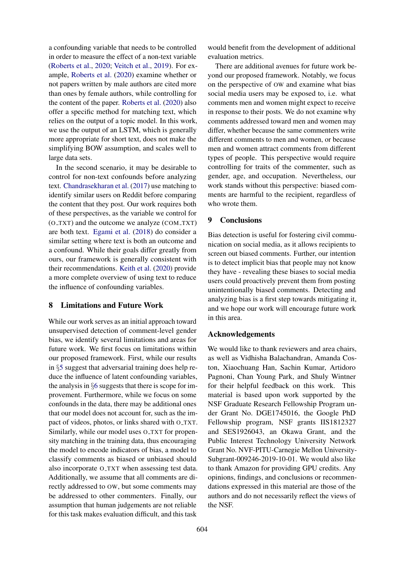a confounding variable that needs to be controlled in order to measure the effect of a non-text variable [\(Roberts et al.,](#page-10-19) [2020;](#page-10-19) [Veitch et al.,](#page-10-20) [2019\)](#page-10-20). For example, [Roberts et al.](#page-10-19) [\(2020\)](#page-10-19) examine whether or not papers written by male authors are cited more than ones by female authors, while controlling for the content of the paper. [Roberts et al.](#page-10-19) [\(2020\)](#page-10-19) also offer a specific method for matching text, which relies on the output of a topic model. In this work, we use the output of an LSTM, which is generally more appropriate for short text, does not make the simplifying BOW assumption, and scales well to large data sets.

In the second scenario, it may be desirable to control for non-text confounds before analyzing text. [Chandrasekharan et al.](#page-9-22) [\(2017\)](#page-9-22) use matching to identify similar users on Reddit before comparing the content that they post. Our work requires both of these perspectives, as the variable we control for (O TXT) and the outcome we analyze (COM TXT) are both text. [Egami et al.](#page-9-23) [\(2018\)](#page-9-23) do consider a similar setting where text is both an outcome and a confound. While their goals differ greatly from ours, our framework is generally consistent with their recommendations. [Keith et al.](#page-9-24) [\(2020\)](#page-9-24) provide a more complete overview of using text to reduce the influence of confounding variables.

### 8 Limitations and Future Work

While our work serves as an initial approach toward unsupervised detection of comment-level gender bias, we identify several limitations and areas for future work. We first focus on limitations within our proposed framework. First, while our results in §[5](#page-4-0) suggest that adversarial training does help reduce the influence of latent confounding variables, the analysis in §[6](#page-5-0) suggests that there is scope for improvement. Furthermore, while we focus on some confounds in the data, there may be additional ones that our model does not account for, such as the impact of videos, photos, or links shared with O\_TXT. Similarly, while our model uses O\_TXT for propensity matching in the training data, thus encouraging the model to encode indicators of bias, a model to classify comments as biased or unbiased should also incorporate O\_TXT when assessing test data. Additionally, we assume that all comments are directly addressed to OW, but some comments may be addressed to other commenters. Finally, our assumption that human judgements are not reliable for this task makes evaluation difficult, and this task

would benefit from the development of additional evaluation metrics.

There are additional avenues for future work beyond our proposed framework. Notably, we focus on the perspective of OW and examine what bias social media users may be exposed to, i.e. what comments men and women might expect to receive in response to their posts. We do not examine why comments addressed toward men and women may differ, whether because the same commenters write different comments to men and women, or because men and women attract comments from different types of people. This perspective would require controlling for traits of the commenter, such as gender, age, and occupation. Nevertheless, our work stands without this perspective: biased comments are harmful to the recipient, regardless of who wrote them.

# 9 Conclusions

Bias detection is useful for fostering civil communication on social media, as it allows recipients to screen out biased comments. Further, our intention is to detect implicit bias that people may not know they have - revealing these biases to social media users could proactively prevent them from posting unintentionally biased comments. Detecting and analyzing bias is a first step towards mitigating it, and we hope our work will encourage future work in this area.

#### Acknowledgements

We would like to thank reviewers and area chairs, as well as Vidhisha Balachandran, Amanda Coston, Xiaochuang Han, Sachin Kumar, Artidoro Pagnoni, Chan Young Park, and Shuly Wintner for their helpful feedback on this work. This material is based upon work supported by the NSF Graduate Research Fellowship Program under Grant No. DGE1745016, the Google PhD Fellowship program, NSF grants IIS1812327 and SES1926043, an Okawa Grant, and the Public Interest Technology University Network Grant No. NVF-PITU-Carnegie Mellon University-Subgrant-009246-2019-10-01. We would also like to thank Amazon for providing GPU credits. Any opinions, findings, and conclusions or recommendations expressed in this material are those of the authors and do not necessarily reflect the views of the NSF.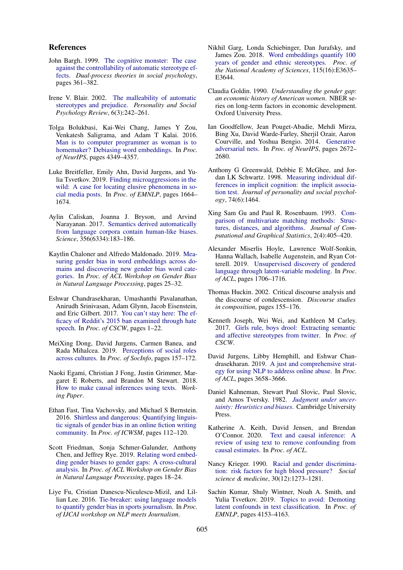#### References

- <span id="page-9-4"></span>John Bargh. 1999. [The cognitive monster: The case](https://psycnet.apa.org/record/1999-02377-017) [against the controllability of automatic stereotype ef](https://psycnet.apa.org/record/1999-02377-017)[fects.](https://psycnet.apa.org/record/1999-02377-017) *Dual-process theories in social psychology*, pages 361–382.
- <span id="page-9-3"></span>Irene V. Blair. 2002. [The malleability of automatic](https://doi.org/10.1207/S15327957PSPR0603_8) [stereotypes and prejudice.](https://doi.org/10.1207/S15327957PSPR0603_8) *Personality and Social Psychology Review*, 6(3):242–261.
- <span id="page-9-7"></span>Tolga Bolukbasi, Kai-Wei Chang, James Y Zou, Venkatesh Saligrama, and Adam T Kalai. 2016. [Man is to computer programmer as woman is to](https://dl.acm.org/doi/10.5555/3157382.3157584) [homemaker? Debiasing word embeddings.](https://dl.acm.org/doi/10.5555/3157382.3157584) In *Proc. of NeurIPS*, pages 4349–4357.
- <span id="page-9-13"></span>Luke Breitfeller, Emily Ahn, David Jurgens, and Yulia Tsvetkov. 2019. [Finding microaggressions in the](https://doi.org/10.18653/v1/D19-1176) [wild: A case for locating elusive phenomena in so](https://doi.org/10.18653/v1/D19-1176)[cial media posts.](https://doi.org/10.18653/v1/D19-1176) In *Proc. of EMNLP*, pages 1664– 1674.
- <span id="page-9-9"></span>Aylin Caliskan, Joanna J. Bryson, and Arvind Narayanan. 2017. [Semantics derived automatically](https://doi.org/10.1126/science.aal4230) [from language corpora contain human-like biases.](https://doi.org/10.1126/science.aal4230) *Science*, 356(6334):183–186.
- <span id="page-9-12"></span>Kaytlin Chaloner and Alfredo Maldonado. 2019. [Mea](https://doi.org/10.18653/v1/W19-3804)[suring gender bias in word embeddings across do](https://doi.org/10.18653/v1/W19-3804)[mains and discovering new gender bias word cate](https://doi.org/10.18653/v1/W19-3804)[gories.](https://doi.org/10.18653/v1/W19-3804) In *Proc. of ACL Workshop on Gender Bias in Natural Language Processing*, pages 25–32.
- <span id="page-9-22"></span>Eshwar Chandrasekharan, Umashanthi Pavalanathan, Anirudh Srinivasan, Adam Glynn, Jacob Eisenstein, and Eric Gilbert. 2017. [You can't stay here: The ef](https://doi.org/10.1145/3134666)[ficacy of Reddit's 2015 ban examined through hate](https://doi.org/10.1145/3134666) [speech.](https://doi.org/10.1145/3134666) In *Proc. of CSCW*, pages 1–22.
- <span id="page-9-14"></span>MeiXing Dong, David Jurgens, Carmen Banea, and Rada Mihalcea. 2019. [Perceptions of social roles](https://link.springer.com/chapter/10.1007/978-3-030-34971-4_11) [across cultures.](https://link.springer.com/chapter/10.1007/978-3-030-34971-4_11) In *Proc. of SocInfo*, pages 157–172.
- <span id="page-9-23"></span>Naoki Egami, Christian J Fong, Justin Grimmer, Margaret E Roberts, and Brandon M Stewart. 2018. [How to make causal inferences using texts.](https://arxiv.org/abs/1802.02163) *Working Paper*.
- <span id="page-9-8"></span>Ethan Fast, Tina Vachovsky, and Michael S Bernstein. 2016. [Shirtless and dangerous: Quantifying linguis](https://www.aaai.org/ocs/index.php/ICWSM/ICWSM16/paper/viewPaper/13112)[tic signals of gender bias in an online fiction writing](https://www.aaai.org/ocs/index.php/ICWSM/ICWSM16/paper/viewPaper/13112) [community.](https://www.aaai.org/ocs/index.php/ICWSM/ICWSM16/paper/viewPaper/13112) In *Proc. of ICWSM*, pages 112–120.
- <span id="page-9-11"></span>Scott Friedman, Sonja Schmer-Galunder, Anthony Chen, and Jeffrey Rye. 2019. [Relating word embed](https://doi.org/10.18653/v1/W19-3803)[ding gender biases to gender gaps: A cross-cultural](https://doi.org/10.18653/v1/W19-3803) [analysis.](https://doi.org/10.18653/v1/W19-3803) In *Proc. of ACL Workshop on Gender Bias in Natural Language Processing*, pages 18–24.
- <span id="page-9-19"></span>Liye Fu, Cristian Danescu-Niculescu-Mizil, and Lillian Lee. 2016. [Tie-breaker: using language models](https://arxiv.org/abs/1607.03895) [to quantify gender bias in sports journalism.](https://arxiv.org/abs/1607.03895) In *Proc. of IJCAI workshop on NLP meets Journalism*.
- <span id="page-9-10"></span>Nikhil Garg, Londa Schiebinger, Dan Jurafsky, and James Zou. 2018. [Word embeddings quantify 100](https://www.pnas.org/content/115/16/E3635) [years of gender and ethnic stereotypes.](https://www.pnas.org/content/115/16/E3635) *Proc. of the National Academy of Sciences*, 115(16):E3635– E3644.
- <span id="page-9-1"></span>Claudia Goldin. 1990. *Understanding the gender gap: an economic history of American women*. NBER series on long-term factors in economic development. Oxford University Press.
- <span id="page-9-17"></span>Ian Goodfellow, Jean Pouget-Abadie, Mehdi Mirza, Bing Xu, David Warde-Farley, Sherjil Ozair, Aaron Courville, and Yoshua Bengio. 2014. [Generative](https://doi.org/10.1073/pnas.1720347115) [adversarial nets.](https://doi.org/10.1073/pnas.1720347115) In *Proc. of NeurIPS*, pages 2672– 2680.
- <span id="page-9-6"></span>Anthony G Greenwald, Debbie E McGhee, and Jordan LK Schwartz. 1998. [Measuring individual dif](https://doi.org/10.1037/0022-3514.74.6.1464)[ferences in implicit cognition: the implicit associa](https://doi.org/10.1037/0022-3514.74.6.1464)[tion test.](https://doi.org/10.1037/0022-3514.74.6.1464) *Journal of personality and social psychology*, 74(6):1464.
- <span id="page-9-15"></span>Xing Sam Gu and Paul R. Rosenbaum. 1993. [Com](https://www.tandfonline.com/doi/abs/10.1080/10618600.1993.10474623)[parison of multivariate matching methods: Struc](https://www.tandfonline.com/doi/abs/10.1080/10618600.1993.10474623)[tures, distances, and algorithms.](https://www.tandfonline.com/doi/abs/10.1080/10618600.1993.10474623) *Journal of Computational and Graphical Statistics*, 2(4):405–420.
- <span id="page-9-21"></span>Alexander Miserlis Hoyle, Lawrence Wolf-Sonkin, Hanna Wallach, Isabelle Augenstein, and Ryan Cotterell. 2019. [Unsupervised discovery of gendered](https://doi.org/10.18653/v1/P19-1167) [language through latent-variable modeling.](https://doi.org/10.18653/v1/P19-1167) In *Proc. of ACL*, pages 1706–1716.
- <span id="page-9-5"></span>Thomas Huckin. 2002. Critical discourse analysis and the discourse of condescension. *Discourse studies in composition*, pages 155–176.
- <span id="page-9-20"></span>Kenneth Joseph, Wei Wei, and Kathleen M Carley. 2017. [Girls rule, boys drool: Extracting semantic](https://doi.org/10.1145/2998181.2998187) [and affective stereotypes from twitter.](https://doi.org/10.1145/2998181.2998187) In *Proc. of CSCW*.
- <span id="page-9-18"></span>David Jurgens, Libby Hemphill, and Eshwar Chandrasekharan. 2019. [A just and comprehensive strat](https://doi.org/10.18653/v1/P19-1357)[egy for using NLP to address online abuse.](https://doi.org/10.18653/v1/P19-1357) In *Proc. of ACL*, pages 3658–3666.
- <span id="page-9-2"></span>Daniel Kahneman, Stewart Paul Slovic, Paul Slovic, and Amos Tversky. 1982. *[Judgment under uncer](https://science.sciencemag.org/content/185/4157/1124)[tainty: Heuristics and biases](https://science.sciencemag.org/content/185/4157/1124)*. Cambridge University Press.
- <span id="page-9-24"></span>Katherine A. Keith, David Jensen, and Brendan O'Connor. 2020. [Text and causal inference: A](https://arxiv.org/abs/2005.00649) [review of using text to remove confounding from](https://arxiv.org/abs/2005.00649) [causal estimates.](https://arxiv.org/abs/2005.00649) In *Proc. of ACL*.
- <span id="page-9-0"></span>Nancy Krieger. 1990. [Racial and gender discrimina](https://doi.org/10.1016/0277-9536(90)90307-e)[tion: risk factors for high blood pressure?](https://doi.org/10.1016/0277-9536(90)90307-e) *Social science & medicine*, 30(12):1273–1281.
- <span id="page-9-16"></span>Sachin Kumar, Shuly Wintner, Noah A. Smith, and Yulia Tsvetkov. 2019. [Topics to avoid: Demoting](https://doi.org/10.18653/v1/D19-1425) [latent confounds in text classification.](https://doi.org/10.18653/v1/D19-1425) In *Proc. of EMNLP*, pages 4153–4163.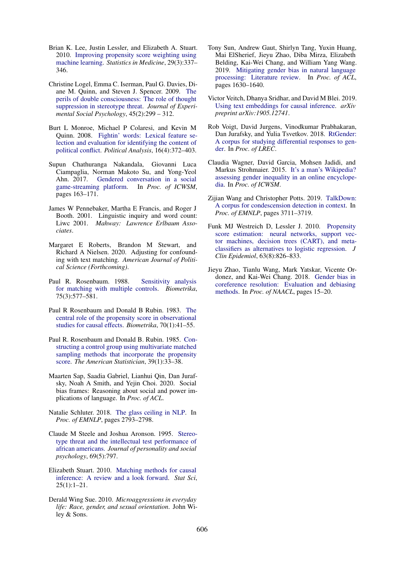- <span id="page-10-10"></span>Brian K. Lee, Justin Lessler, and Elizabeth A. Stuart. 2010. [Improving propensity score weighting using](https://doi.org/10.1002/sim.3782) [machine learning.](https://doi.org/10.1002/sim.3782) *Statistics in Medicine*, 29(3):337– 346.
- <span id="page-10-1"></span>Christine Logel, Emma C. Iserman, Paul G. Davies, Diane M. Quinn, and Steven J. Spencer. 2009. [The](https://doi.org/https://doi.org/10.1016/j.jesp.2008.07.016) [perils of double consciousness: The role of thought](https://doi.org/https://doi.org/10.1016/j.jesp.2008.07.016) [suppression in stereotype threat.](https://doi.org/https://doi.org/10.1016/j.jesp.2008.07.016) *Journal of Experimental Social Psychology*, 45(2):299 – 312.
- <span id="page-10-13"></span>Burt L Monroe, Michael P Colaresi, and Kevin M Quinn. 2008. [Fightin' words: Lexical feature se](https://doi.org/10.1093/pan/mpn018)[lection and evaluation for identifying the content of](https://doi.org/10.1093/pan/mpn018) [political conflict.](https://doi.org/10.1093/pan/mpn018) *Political Analysis*, 16(4):372–403.
- <span id="page-10-18"></span>Supun Chathuranga Nakandala, Giovanni Luca Ciampaglia, Norman Makoto Su, and Yong-Yeol Ahn. 2017. [Gendered conversation in a social](https://www.aaai.org/ocs/index.php/ICWSM/ICWSM17/paper/view/15629) game-streaming platform. In *Proc. of ICWSM*, [game-streaming platform.](https://www.aaai.org/ocs/index.php/ICWSM/ICWSM17/paper/view/15629) pages 163–171.
- <span id="page-10-16"></span>James W Pennebaker, Martha E Francis, and Roger J Booth. 2001. Linguistic inquiry and word count: Liwc 2001. *Mahway: Lawrence Erlbaum Associates*.
- <span id="page-10-19"></span>Margaret E Roberts, Brandon M Stewart, and Richard A Nielsen. 2020. Adjusting for confounding with text matching. *American Journal of Political Science (Forthcoming)*.
- <span id="page-10-12"></span>Paul R. Rosenbaum. 1988. [Sensitivity analysis](https://doi.org/https://doi.org/10.1093/biomet/75.3.577) [for matching with multiple controls.](https://doi.org/https://doi.org/10.1093/biomet/75.3.577) *Biometrika*, 75(3):577–581.
- <span id="page-10-7"></span>Paul R Rosenbaum and Donald B Rubin. 1983. [The](https://doi.org/10.1093/biomet/70.1.41) [central role of the propensity score in observational](https://doi.org/10.1093/biomet/70.1.41) [studies for causal effects.](https://doi.org/10.1093/biomet/70.1.41) *Biometrika*, 70(1):41–55.
- <span id="page-10-8"></span>Paul R. Rosenbaum and Donald B. Rubin. 1985. [Con](https://doi.org/10.1080/00031305.1985.10479383)[structing a control group using multivariate matched](https://doi.org/10.1080/00031305.1985.10479383) [sampling methods that incorporate the propensity](https://doi.org/10.1080/00031305.1985.10479383) [score.](https://doi.org/10.1080/00031305.1985.10479383) *The American Statistician*, 39(1):33–38.
- <span id="page-10-6"></span>Maarten Sap, Saadia Gabriel, Lianhui Qin, Dan Jurafsky, Noah A Smith, and Yejin Choi. 2020. Social bias frames: Reasoning about social and power implications of language. In *Proc. of ACL*.
- <span id="page-10-2"></span>Natalie Schluter. 2018. [The glass ceiling in NLP.](https://doi.org/10.18653/v1/D18-1301) In *Proc. of EMNLP*, pages 2793–2798.
- <span id="page-10-0"></span>Claude M Steele and Joshua Aronson. 1995. [Stereo](https://doi.org/10.1037//0022-3514.69.5.797)[type threat and the intellectual test performance of](https://doi.org/10.1037//0022-3514.69.5.797) [african americans.](https://doi.org/10.1037//0022-3514.69.5.797) *Journal of personality and social psychology*, 69(5):797.
- <span id="page-10-11"></span>Elizabeth Stuart. 2010. [Matching methods for causal](https://doi.org/10.1214/09-STS313) [inference: A review and a look forward.](https://doi.org/10.1214/09-STS313) *Stat Sci*, 25(1):1–21.
- <span id="page-10-3"></span>Derald Wing Sue. 2010. *Microaggressions in everyday life: Race, gender, and sexual orientation*. John Wiley & Sons.
- <span id="page-10-4"></span>Tony Sun, Andrew Gaut, Shirlyn Tang, Yuxin Huang, Mai ElSherief, Jieyu Zhao, Diba Mirza, Elizabeth Belding, Kai-Wei Chang, and William Yang Wang. 2019. [Mitigating gender bias in natural language](https://doi.org/10.18653/v1/P19-1159) [processing: Literature review.](https://doi.org/10.18653/v1/P19-1159) In *Proc. of ACL*, pages 1630–1640.
- <span id="page-10-20"></span>Victor Veitch, Dhanya Sridhar, and David M Blei. 2019. [Using text embeddings for causal inference.](https://arxiv.org/abs/1905.12741) *arXiv preprint arXiv:1905.12741*.
- <span id="page-10-15"></span>Rob Voigt, David Jurgens, Vinodkumar Prabhakaran, Dan Jurafsky, and Yulia Tsvetkov. 2018. [RtGender:](https://www.aclweb.org/anthology/L18-1445) [A corpus for studying differential responses to gen](https://www.aclweb.org/anthology/L18-1445)[der.](https://www.aclweb.org/anthology/L18-1445) In *Proc. of LREC*.
- <span id="page-10-17"></span>Claudia Wagner, David Garcia, Mohsen Jadidi, and Markus Strohmaier. 2015. [It's a man's Wikipedia?](https://www.aaai.org/ocs/index.php/ICWSM/ICWSM15/paper/view/10585) [assessing gender inequality in an online encyclope](https://www.aaai.org/ocs/index.php/ICWSM/ICWSM15/paper/view/10585)[dia.](https://www.aaai.org/ocs/index.php/ICWSM/ICWSM15/paper/view/10585) In *Proc. of ICWSM*.
- <span id="page-10-5"></span>Zijian Wang and Christopher Potts. 2019. [TalkDown:](https://doi.org/10.18653/v1/D19-1385) [A corpus for condescension detection in context.](https://doi.org/10.18653/v1/D19-1385) In *Proc. of EMNLP*, pages 3711–3719.
- <span id="page-10-9"></span>Funk MJ Westreich D, Lessler J. 2010. [Propensity](https://doi.org/10.1016/j.jclinepi.2009.11.020) [score estimation: neural networks, support vec](https://doi.org/10.1016/j.jclinepi.2009.11.020)[tor machines, decision trees \(CART\), and meta](https://doi.org/10.1016/j.jclinepi.2009.11.020)[classifiers as alternatives to logistic regression.](https://doi.org/10.1016/j.jclinepi.2009.11.020) *J Clin Epidemiol*, 63(8):826–833.
- <span id="page-10-14"></span>Jieyu Zhao, Tianlu Wang, Mark Yatskar, Vicente Ordonez, and Kai-Wei Chang. 2018. [Gender bias in](https://doi.org/10.18653/v1/N18-2003) [coreference resolution: Evaluation and debiasing](https://doi.org/10.18653/v1/N18-2003) [methods.](https://doi.org/10.18653/v1/N18-2003) In *Proc. of NAACL*, pages 15–20.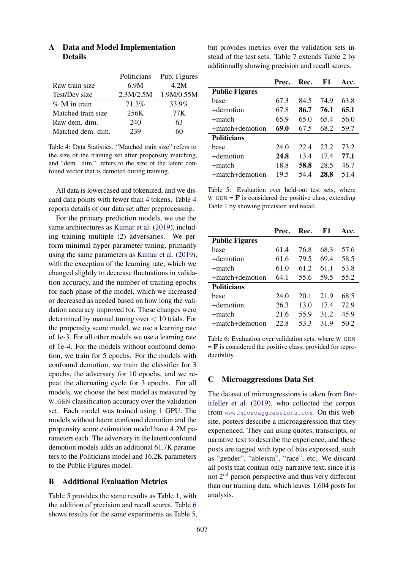<span id="page-11-3"></span>

|                    | Politicians | Pub. Figures |
|--------------------|-------------|--------------|
| Raw train size     | 6.9M        | 4.2M         |
| Test/Dev size      | 2.3M/2.5M   | 1.9M/0.55M   |
| $\%$ M in train    | 71.3%       | 33.9%        |
| Matched train size | 256K        | 77 K         |
| Raw dem. dim.      | 240         | 63           |
| Matched dem. dim.  | 239         |              |

# <span id="page-11-0"></span>A Data and Model Implementation **Details**

Table 4: Data Statistics. "Matched train size" refers to the size of the training set after propensity matching, and "dem. dim." refers to the size of the latent confound vector that is demoted during training.

All data is lowercased and tokenized, and we discard data points with fewer than 4 tokens. Table [4](#page-11-3) reports details of our data set after preprocessing.

For the primary prediction models, we use the same architectures as [Kumar et al.](#page-9-16) [\(2019\)](#page-9-16), including training multiple (2) adversaries. We perform minimal hyper-parameter tuning, primarily using the same parameters as [Kumar et al.](#page-9-16) [\(2019\)](#page-9-16), with the exception of the learning rate, which we changed slightly to decrease fluctuations in validation accuracy, and the number of training epochs for each phase of the model, which we increased or decreased as needed based on how long the validation accuracy improved for. These changes were determined by manual tuning over  $< 10$  trials. For the propensity score model, we use a learning rate of 1e-3. For all other models we use a learning rate of 1e-4. For the models without confound demotion, we train for 5 epochs. For the models with confound demotion, we train the classifier for 3 epochs, the adversary for 10 epochs, and we repeat the alternating cycle for 3 epochs. For all models, we choose the best model as measured by W GEN classification accuracy over the validation set. Each model was trained using 1 GPU. The models without latent confound demotion and the propensity score estimation model have 4.2M parameters each. The adversary in the latent confound demotion models adds an additional 61.7K parameters to the Politicians model and 16.2K parameters to the Public Figures model.

#### <span id="page-11-1"></span>B Additional Evaluation Metrics

Table [5](#page-11-4) provides the same results as Table [1,](#page-5-1) with the addition of precision and recall scores. Table [6](#page-11-5) shows results for the same experiments as Table [5,](#page-11-4) but provides metrics over the validation sets instead of the test sets. Table [7](#page-12-0) extends Table [2](#page-6-0) by additionally showing precision and recall scores.

<span id="page-11-4"></span>

|                        | Prec. | Rec. | F1   | Acc. |
|------------------------|-------|------|------|------|
| <b>Public Figures</b>  |       |      |      |      |
| base                   | 67.3  | 84.5 | 74 9 | 63.8 |
| +demotion              | 67.8  | 86.7 | 76.1 | 65.1 |
| $+$ match              | 65.9  | 65.0 | 65.4 | 56.0 |
| $+$ match $+$ demotion | 69.0  | 67.5 | 68.2 | 59.7 |
| <b>Politicians</b>     |       |      |      |      |
| base                   | 24.0  | 22.4 | 23.2 | 73.2 |
| +demotion              | 24.8  | 13.4 | 174  | 77.1 |
| +match                 | 18.8  | 58.8 | 28.5 | 46.7 |
| $+$ match $+$ demotion | 19.5  | 54.4 | 28.8 | 514  |

Table 5: Evaluation over held-out test sets, where  $W_GEN = \mathbf{F}$  is considered the positive class, extending Table [1](#page-5-1) by showing precision and recall.

<span id="page-11-5"></span>

|                       | Prec. | Rec. | F1   | Acc. |
|-----------------------|-------|------|------|------|
| <b>Public Figures</b> |       |      |      |      |
| hase                  | 61.4  | 76.8 | 68.3 | 57.6 |
| +demotion             | 61.6  | 79.5 | 69.4 | 58.5 |
| +match                | 61.0  | 61.2 | 61.1 | 53.8 |
| +match+demotion       | 64.1  | 55.6 | 59.5 | 55.2 |
| <b>Politicians</b>    |       |      |      |      |
| base                  | 24.0  | 20.1 | 21.9 | 68.5 |
| +demotion             | 26.3  | 13.0 | 17.4 | 72.9 |
| $+$ match             | 21.6  | 55.9 | 31.2 | 45.9 |
| +match+demotion       | 22 S  | 53.3 | 31.9 | 50.2 |

Table 6: Evaluation over validation sets, where W\_GEN  $=$  **F** is considered the positive class, provided for reproducibility.

### <span id="page-11-2"></span>C Microaggressions Data Set

The dataset of microagressions is taken from [Bre](#page-9-13)[itfeller et al.](#page-9-13) [\(2019\)](#page-9-13), who collected the corpus from <www.microaggressions.com>. On this website, posters describe a microaggression that they experienced. They can using quotes, transcripts, or narrative text to describe the experience, and these posts are tagged with type of bias expressed, such as "gender", "ableism", "race", etc. We discard all posts that contain only narrative text, since it is not 2nd person perspective and thus very different than our training data, which leaves 1,604 posts for analysis.